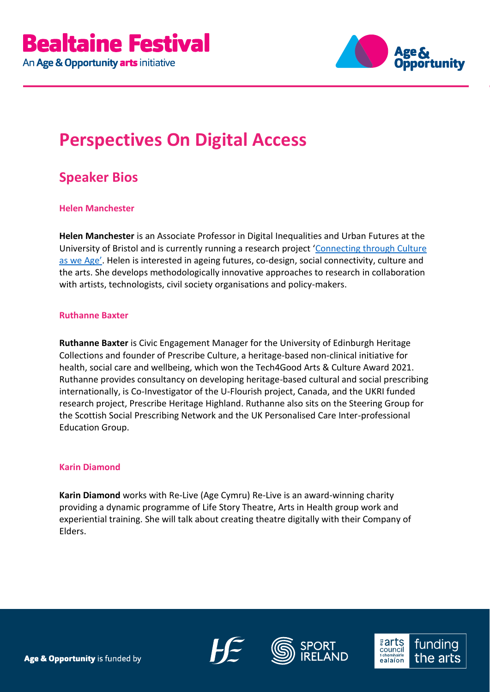

# **Perspectives On Digital Access**

## **Speaker Bios**

### **Helen Manchester**

**Helen Manchester** is an Associate Professor in Digital Inequalities and Urban Futures at the University of Bristol and is currently running a research project '[Connecting through Culture](https://connectingthroughcultureasweage.info/)  [as we Age'](https://connectingthroughcultureasweage.info/). Helen is interested in ageing futures, co-design, social connectivity, culture and the arts. She develops methodologically innovative approaches to research in collaboration with artists, technologists, civil society organisations and policy-makers.

#### **Ruthanne Baxter**

**Ruthanne Baxter** is Civic Engagement Manager for the University of Edinburgh Heritage Collections and founder of Prescribe Culture, a heritage-based non-clinical initiative for health, social care and wellbeing, which won the Tech4Good Arts & Culture Award 2021. Ruthanne provides consultancy on developing heritage-based cultural and social prescribing internationally, is Co-Investigator of the U-Flourish project, Canada, and the UKRI funded research project, Prescribe Heritage Highland. Ruthanne also sits on the Steering Group for the Scottish Social Prescribing Network and the UK Personalised Care Inter-professional Education Group.

### **Karin Diamond**

**Karin Diamond** works with Re-Live (Age Cymru) Re-Live is an award-winning charity providing a dynamic programme of Life Story Theatre, Arts in Health group work and experiential training. She will talk about creating theatre digitally with their Company of Elders.





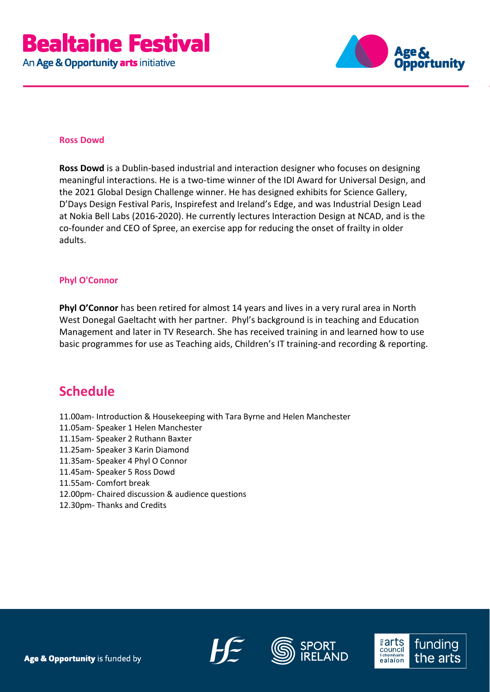

#### **Ross Dowd**

**Ross Dowd** is a Dublin-based industrial and interaction designer who focuses on designing meaningful interactions. He is a two-time winner of the IDI Award for Universal Design, and the 2021 Global Design Challenge winner. He has designed exhibits for Science Gallery, D'Days Design Festival Paris, Inspirefest and Ireland's Edge, and was Industrial Design Lead at Nokia Bell Labs (2016-2020). He currently lectures Interaction Design at NCAD, and is the co-founder and CEO of Spree, an exercise app for reducing the onset of frailty in older adults.

### **Phyl O'Connor**

**Phyl O'Connor** has been retired for almost 14 years and lives in a very rural area in North West Donegal Gaeltacht with her partner. Phyl's background is in teaching and Education Management and later in TV Research. She has received training in and learned how to use basic programmes for use as Teaching aids, Children's IT training-and recording & reporting.

### **Schedule**

- 11.00am- Introduction & Housekeeping with Tara Byrne and Helen Manchester
- 11.05am- Speaker 1 Helen Manchester
- 11.15am- Speaker 2 Ruthann Baxter
- 11.25am- Speaker 3 Karin Diamond
- 11.35am- Speaker 4 Phyl O Connor
- 11.45am- Speaker 5 Ross Dowd
- 11.55am- Comfort break
- 12.00pm- Chaired discussion & audience questions
- 12.30pm- Thanks and Credits





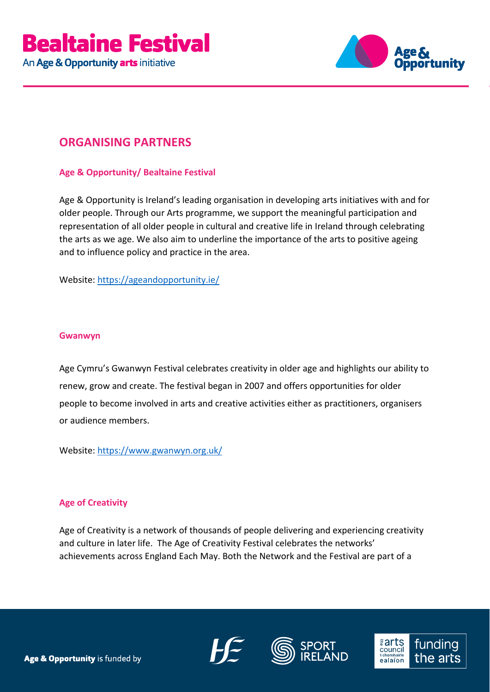

### **ORGANISING PARTNERS**

### **Age & Opportunity/ Bealtaine Festival**

Age & Opportunity is Ireland's leading organisation in developing arts initiatives with and for older people. Through our Arts programme, we support the meaningful participation and representation of all older people in cultural and creative life in Ireland through celebrating the arts as we age. We also aim to underline the importance of the arts to positive ageing and to influence policy and practice in the area.

Website:<https://ageandopportunity.ie/>

### **Gwanwyn**

Age Cymru's Gwanwyn Festival celebrates creativity in older age and highlights our ability to renew, grow and create. The festival began in 2007 and offers opportunities for older people to become involved in arts and creative activities either as practitioners, organisers or audience members.

Website: <https://www.gwanwyn.org.uk/>

### **Age of Creativity**

Age of Creativity is a network of thousands of people delivering and experiencing creativity and culture in later life. The Age of Creativity Festival celebrates the networks' achievements across England Each May. Both the Network and the Festival are part of a